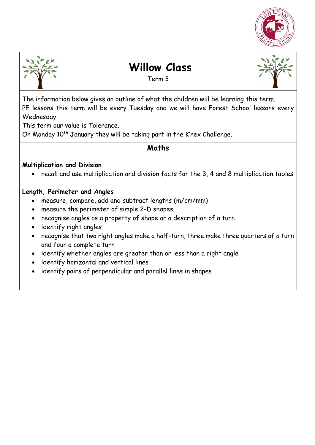



# **Willow Class**

Term 3



The information below gives an outline of what the children will be learning this term. PE lessons this term will be every Tuesday and we will have Forest School lessons every Wednesday.

This term our value is Tolerance.

On Monday  $10<sup>th</sup>$  January they will be taking part in the K'nex Challenge.

# **Maths**

#### **Multiplication and Division**

recall and use multiplication and division facts for the 3, 4 and 8 multiplication tables

#### **Length, Perimeter and Angles**

- measure, compare, add and subtract lengths (m/cm/mm)
- measure the perimeter of simple 2-D shapes
- recognise angles as a property of shape or a description of a turn
- identify right angles
- recognise that two right angles make a half-turn, three make three quarters of a turn and four a complete turn
- identify whether angles are greater than or less than a right angle
- identify horizontal and vertical lines
- identify pairs of perpendicular and parallel lines in shapes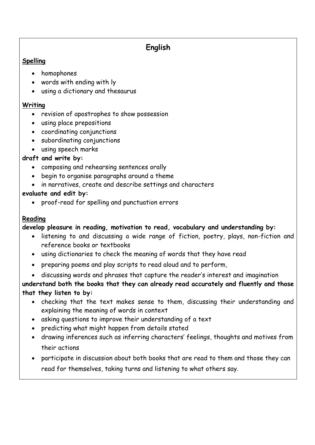# **English**

#### **Spelling**

- homophones
- words with ending with ly
- using a dictionary and thesaurus

#### **Writing**

- revision of apostrophes to show possession
- using place prepositions
- coordinating conjunctions
- subordinating conjunctions
- using speech marks

### **draft and write by:**

- composing and rehearsing sentences orally
- begin to organise paragraphs around a theme
- in narratives, create and describe settings and characters

### **evaluate and edit by:**

proof-read for spelling and punctuation errors

### **Reading**

# **develop pleasure in reading, motivation to read, vocabulary and understanding by:**

- listening to and discussing a wide range of fiction, poetry, plays, non-fiction and reference books or textbooks
- using dictionaries to check the meaning of words that they have read
- preparing poems and play scripts to read aloud and to perform,
- discussing words and phrases that capture the reader's interest and imagination

**understand both the books that they can already read accurately and fluently and those that they listen to by:** 

- checking that the text makes sense to them, discussing their understanding and explaining the meaning of words in context
- asking questions to improve their understanding of a text
- predicting what might happen from details stated
- drawing inferences such as inferring characters' feelings, thoughts and motives from their actions
- participate in discussion about both books that are read to them and those they can read for themselves, taking turns and listening to what others say.